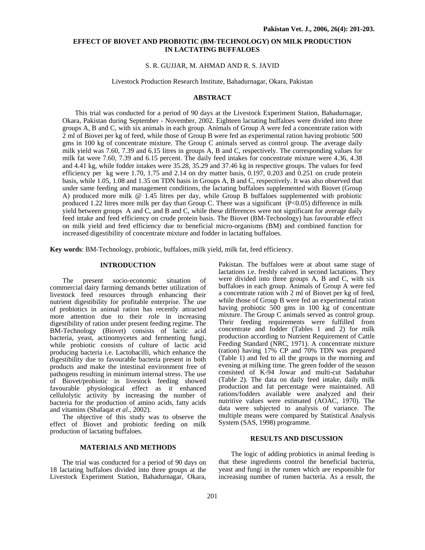# **EFFECT OF BIOVET AND PROBIOTIC (BM-TECHNOLOGY) ON MILK PRODUCTION IN LACTATING BUFFALOES**

### S. R. GUJJAR, M. AHMAD AND R. S. JAVID

# Livestock Production Research Institute, Bahadurnagar, Okara, Pakistan

# **ABSTRACT**

This trial was conducted for a period of 90 days at the Livestock Experiment Station, Bahadurnagar, Okara, Pakistan during September - November, 2002. Eighteen lactating buffaloes were divided into three groups A, B and C, with six animals in each group. Animals of Group A were fed a concentrate ration with 2 ml of Biovet per kg of feed, while those of Group B were fed an experimental ration having probiotic 500 gms in 100 kg of concentrate mixture. The Group C animals served as control group. The average daily milk yield was 7.60, 7.39 and 6.15 litres in groups A, B and C, respectively. The corresponding values for milk fat were 7.60, 7.39 and 6.15 percent. The daily feed intakes for concentrate mixture were 4.36, 4.38 and 4.41 kg, while fodder intakes were 35.28, 35.29 and 37.46 kg in respective groups. The values for feed efficiency per kg were 1.70, 1.75 and 2.14 on dry matter basis, 0.197, 0.203 and 0.251 on crude protein basis, while 1.05, 1.08 and 1.35 on TDN basis in Groups A, B and C, respectively. It was also observed that under same feeding and management conditions, the lactating buffaloes supplemented with Biovet (Group A) produced more milk @ 1.45 litres per day, while Group B buffaloes supplemented with probiotic produced 1.22 litres more milk per day than Group C. There was a significant (P<0.05) difference in milk yield between groups A and C, and B and C, while these differences were not significant for average daily feed intake and feed efficiency on crude protein basis. The Biovet (BM-Technology) has favourable effect on milk yield and feed efficiency due to beneficial micro-organisms (BM) and combined function for increased digestibility of concentrate mixture and fodder in lactating buffaloes.

**Key words**: BM-Technology, probiotic, buffaloes, milk yield, milk fat, feed efficiency.

### **INTRODUCTION**

The present socio-economic situation of commercial dairy farming demands better utilization of livestock feed resources through enhancing their nutrient digestibility for profitable enterprise. The use of probiotics in animal ration has recently attracted more attention due to their role in increasing digestibility of ration under present feeding regime. The BM-Technology (Biovet) consists of lactic acid bacteria, yeast, actinomycetes and fermenting fungi, while probiotic consists of culture of lactic acid producing bacteria i.e. Lactobacilli, which enhance the digestibility due to favourable bacteria present in both products and make the intestinal environment free of pathogens resulting in minimum internal stress. The use of Biovet/probiotic in livestock feeding showed favourable physiological effect as it enhanced cellulolytic activity by increasing the number of bacteria for the production of amino acids, fatty acids and vitamins (Shafaqat *et al*., 2002).

The objective of this study was to observe the effect of Biovet and probiotic feeding on milk production of lactating buffaloes.

### **MATERIALS AND METHODS**

The trial was conducted for a period of 90 days on 18 lactating buffaloes divided into three groups at the Livestock Experiment Station, Bahadurnagar, Okara,

Pakistan. The buffaloes were at about same stage of lactations i.e. freshly calved in second lactations. They were divided into three groups A, B and C, with six buffaloes in each group. Animals of Group A were fed a concentrate ration with 2 ml of Biovet per kg of feed, while those of Group B were fed an experimental ration having probiotic 500 gms in 100 kg of concentrate mixture. The Group C animals served as control group. Their feeding requirements were fulfilled from concentrate and fodder (Tables 1 and 2) for milk production according to Nutrient Requirement of Cattle Feeding Standard (NRC, 1971). A concentrate mixture (ration) having 17% CP and 70% TDN was prepared (Table 1) and fed to all the groups in the morning and evening at milking time. The green fodder of the season consisted of K-94 Jowar and multi-cut Sadabahar (Table 2). The data on daily feed intake, daily milk production and fat percentage were maintained. All rations/fodders available were analyzed and their nutritive values were estimated (AOAC, 1970). The data were subjected to analysis of variance. The multiple means were compared by Statistical Analysis System (SAS, 1998) programme.

### **RESULTS AND DISCUSSION**

The logic of adding probiotics in animal feeding is that these ingredients control the beneficial bacteria, yeast and fungi in the rumen which are responsible for increasing number of rumen bacteria. As a result, the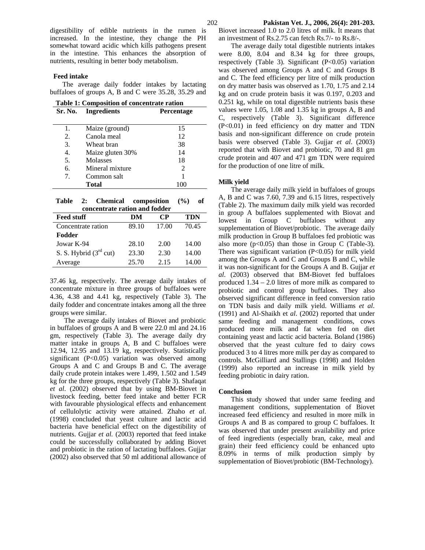digestibility of edible nutrients in the rumen is increased. In the intestine, they change the PH somewhat toward acidic which kills pathogens present in the intestine. This enhances the absorption of nutrients, resulting in better body metabolism.

#### **Feed intake**

The average daily fodder intakes by lactating buffaloes of groups A, B and C were 35.28, 35.29 and

| Table 1: Composition of concentrate ration |  |  |
|--------------------------------------------|--|--|
|                                            |  |  |

| Sr. No. | <b>Ingredients</b> | <b>Percentage</b> |
|---------|--------------------|-------------------|
| 1.      |                    | 15                |
|         | Maize (ground)     |                   |
| 2.      | Canola meal        | 12                |
| 3.      | Wheat bran         | 38                |
| 4.      | Maize gluten 30%   | 14                |
| 5.      | Molasses           | 18                |
| 6.      | Mineral mixture    | 2                 |
| 7.      | Common salt        |                   |
|         | Total              | 100               |
|         |                    |                   |

**Table 2: Chemical composition (%) of concentrate ration and fodder**

| <b>Feed stuff</b>        | DM    | CР    | <b>TDN</b> |  |  |  |  |
|--------------------------|-------|-------|------------|--|--|--|--|
| Concentrate ration       | 89.10 | 17.00 | 70.45      |  |  |  |  |
| Fodder                   |       |       |            |  |  |  |  |
| Jowar K-94               | 28.10 | 2.00  | 14.00      |  |  |  |  |
| S. S. Hybrid $(3rd$ cut) | 23.30 | 2.30  | 14.00      |  |  |  |  |
| Average                  | 25.70 | 2.15  | 14.00      |  |  |  |  |

37.46 kg, respectively. The average daily intakes of concentrate mixture in three groups of buffaloes were 4.36, 4.38 and 4.41 kg, respectively (Table 3). The daily fodder and concentrate intakes among all the three groups were similar.

 The average daily intakes of Biovet and probiotic in buffaloes of groups A and B were 22.0 ml and 24.16 gm, respectively (Table 3). The average daily dry matter intake in groups A, B and C buffaloes were 12.94, 12.95 and 13.19 kg, respectively. Statistically significant  $(P<0.05)$  variation was observed among Groups A and C and Groups B and C. The average daily crude protein intakes were 1.499, 1.502 and 1.549 kg for the three groups, respectively (Table 3). Shafaqat *et al*. (2002) observed that by using BM-Biovet in livestock feeding, better feed intake and better FCR with favourable physiological effects and enhancement of cellulolytic activity were attained. Zhaho *et al*. (1998) concluded that yeast culture and lactic acid bacteria have beneficial effect on the digestibility of nutrients. Gujjar *et al.* (2003) reported that feed intake could be successfully collaborated by adding Biovet and probiotic in the ration of lactating buffaloes. Gujjar (2002) also observed that 50 ml additional allowance of Biovet increased 1.0 to 2.0 litres of milk. It means that an investment of Rs.2.75 can fetch Rs.7/- to Rs.8/-.

The average daily total digestible nutrients intakes were 8.00, 8.04 and 8.34 kg for three groups, respectively (Table 3). Significant (P<0.05) variation was observed among Groups A and C and Groups B and C. The feed efficiency per litre of milk production on dry matter basis was observed as 1.70, 1.75 and 2.14 kg and on crude protein basis it was 0.197, 0.203 and 0.251 kg, while on total digestible nutrients basis these values were 1.05, 1.08 and 1.35 kg in groups A, B and C, respectively (Table 3). Significant difference (P<0.01) in feed efficiency on dry matter and TDN basis and non-significant difference on crude protein basis were observed (Table 3). Gujjar *et al*. (2003) reported that with Biovet and probiotic, 70 and 81 gm crude protein and 407 and 471 gm TDN were required for the production of one litre of milk.

#### **Milk yield**

The average daily milk yield in buffaloes of groups A, B and C was 7.60, 7.39 and 6.15 litres, respectively (Table 2). The maximum daily milk yield was recorded in group A buffaloes supplemented with Biovat and lowest in Group C buffaloes without any supplementation of Biovet/probiotic. The average daily milk production in Group B buffaloes fed probiotic was also more ( $p<0.05$ ) than those in Group C (Table-3). There was significant variation (P<0.05) for milk yield among the Groups A and C and Groups B and C, while it was non-significant for the Groups A and B. Gujjar *et al*. (2003) observed that BM-Biovet fed buffaloes produced 1.34 – 2.0 litres of more milk as compared to probiotic and control group buffaloes. They also observed significant difference in feed conversion ratio on TDN basis and daily milk yield. Williams *et al*. (1991) and Al-Shaikh et *al*. (2002) reported that under same feeding and management conditions, cows produced more milk and fat when fed on diet containing yeast and lactic acid bacteria. Boland (1986) observed that the yeast culture fed to dairy cows produced 3 to 4 litres more milk per day as compared to controls. McGilliard and Stallings (1998) and Holden (1999) also reported an increase in milk yield by feeding probiotic in dairy ration.

#### **Conclusion**

This study showed that under same feeding and management conditions, supplementation of Biovet increased feed efficiency and resulted in more milk in Groups A and B as compared to group C buffaloes. It was observed that under present availability and price of feed ingredients (especially bran, cake, meal and grain) their feed efficiency could be enhanced upto 8.09% in terms of milk production simply by supplementation of Biovet/probiotic (BM-Technology).